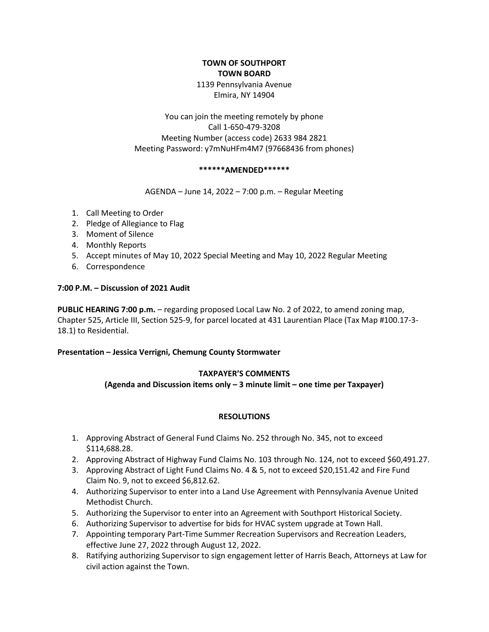# TOWN OF SOUTHPORT TOWN BOARD 1139 Pennsylvania Avenue Elmira, NY 14904

You can join the meeting remotely by phone Call 1-650-479-3208 Meeting Number (access code) 2633 984 2821 Meeting Password: y7mNuHFm4M7 (97668436 from phones)

### \*\*\*\*\*\*AMENDED\*\*\*\*\*\*

AGENDA – June 14, 2022 – 7:00 p.m. – Regular Meeting

- 1. Call Meeting to Order
- 2. Pledge of Allegiance to Flag
- 3. Moment of Silence
- 4. Monthly Reports
- 5. Accept minutes of May 10, 2022 Special Meeting and May 10, 2022 Regular Meeting
- 6. Correspondence

### 7:00 P.M. – Discussion of 2021 Audit

PUBLIC HEARING 7:00 p.m. – regarding proposed Local Law No. 2 of 2022, to amend zoning map, Chapter 525, Article III, Section 525-9, for parcel located at 431 Laurentian Place (Tax Map #100.17-3- 18.1) to Residential.

### Presentation – Jessica Verrigni, Chemung County Stormwater

### TAXPAYER'S COMMENTS

(Agenda and Discussion items only – 3 minute limit – one time per Taxpayer)

### RESOLUTIONS

- 1. Approving Abstract of General Fund Claims No. 252 through No. 345, not to exceed \$114,688.28.
- 2. Approving Abstract of Highway Fund Claims No. 103 through No. 124, not to exceed \$60,491.27.
- 3. Approving Abstract of Light Fund Claims No. 4 & 5, not to exceed \$20,151.42 and Fire Fund Claim No. 9, not to exceed \$6,812.62.
- 4. Authorizing Supervisor to enter into a Land Use Agreement with Pennsylvania Avenue United Methodist Church.
- 5. Authorizing the Supervisor to enter into an Agreement with Southport Historical Society.
- 6. Authorizing Supervisor to advertise for bids for HVAC system upgrade at Town Hall.
- 7. Appointing temporary Part-Time Summer Recreation Supervisors and Recreation Leaders, effective June 27, 2022 through August 12, 2022.
- 8. Ratifying authorizing Supervisor to sign engagement letter of Harris Beach, Attorneys at Law for civil action against the Town.